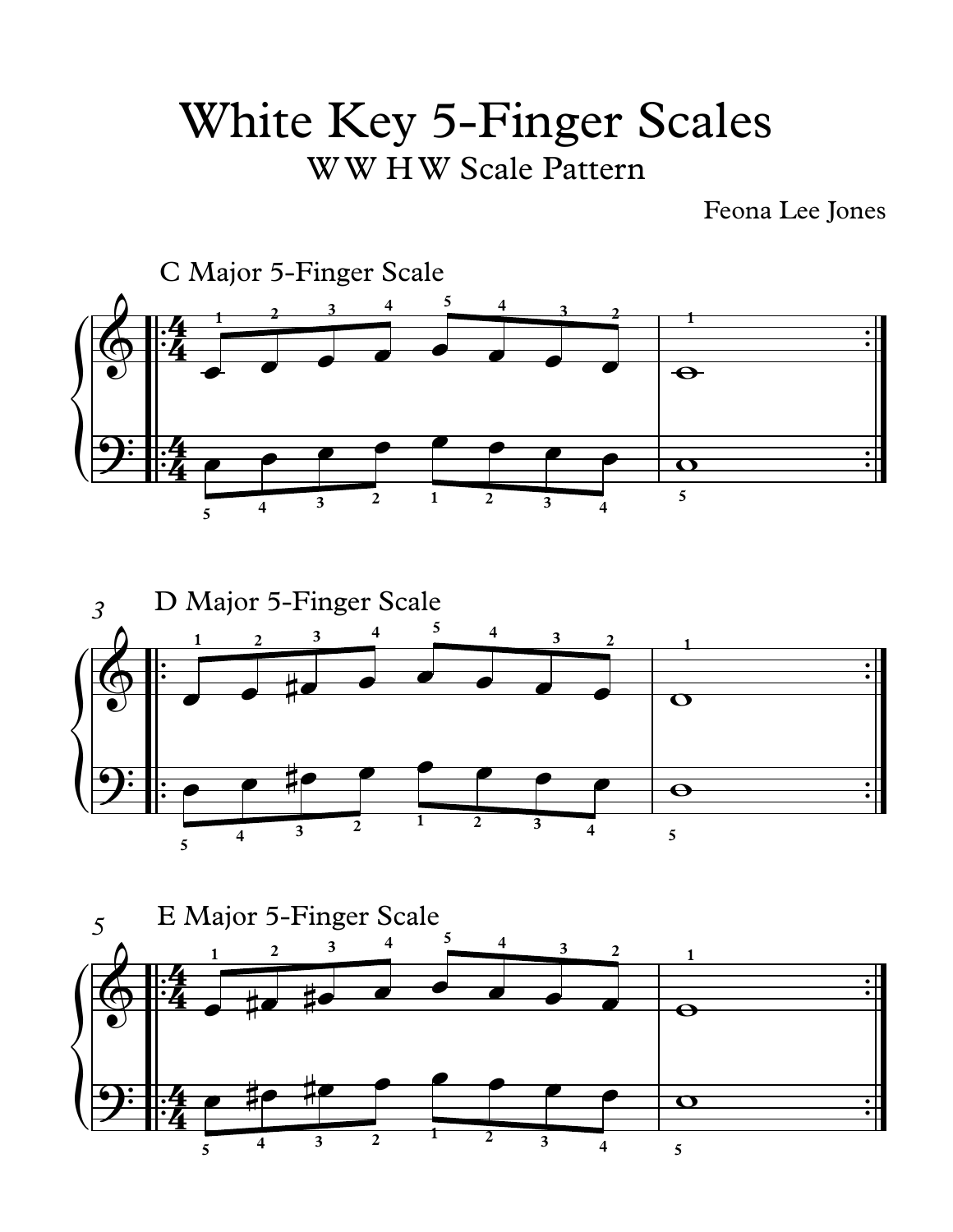## White Key 5-Finger Scales WW HW Scale Pattern

Feona Lee Jones